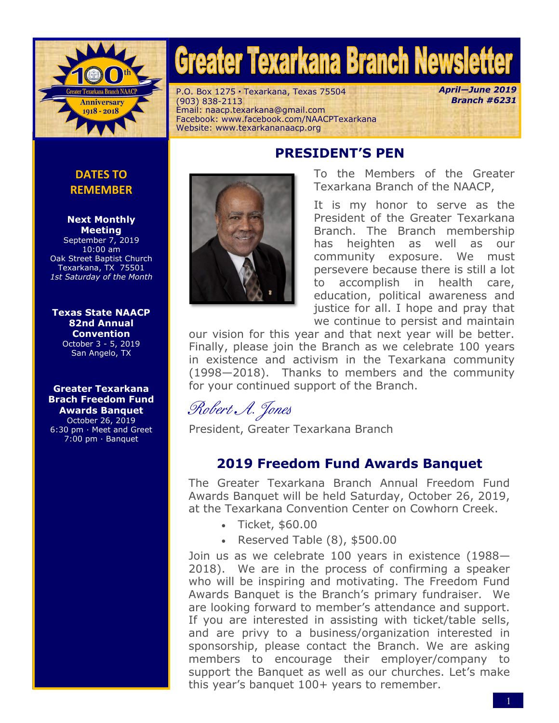

# **Greater Texarkana Branch Newsletter**

P.O. Box 1275·Texarkana, Texas 75504 (903) 838-2113 Email: naacp.texarkana@gmail.com Facebook: www.facebook.com/NAACPTexarkana Website: www.texarkananaacp.org

*April—June 2019 Branch #6231*

## **PRESIDENT'S PEN**

**DATES TO REMEMBER**

#### **Next Monthly Meeting**

September 7, 2019 10:00 am Oak Street Baptist Church Texarkana, TX 75501 *1st Saturday of the Month*

#### **[Texas State NAACP](https://sanangelonaacp.org/events/) [82nd Annual](https://sanangelonaacp.org/events/)  [Convention](https://sanangelonaacp.org/events/)**

October 3 - 5, 2019 San Angelo, TX

**Greater Texarkana Brach Freedom Fund Awards Banquet** October 26, 2019 6:30 pm · Meet and Greet 7:00 pm · Banquet



To the Members of the Greater Texarkana Branch of the NAACP,

It is my honor to serve as the President of the Greater Texarkana Branch. The Branch membership has heighten as well as our community exposure. We must persevere because there is still a lot to accomplish in health care, education, political awareness and justice for all. I hope and pray that we continue to persist and maintain

our vision for this year and that next year will be better. Finally, please join the Branch as we celebrate 100 years in existence and activism in the Texarkana community (1998—2018). Thanks to members and the community for your continued support of the Branch.

Robert A. Jones

President, Greater Texarkana Branch

## **2019 Freedom Fund Awards Banquet**

The Greater Texarkana Branch Annual Freedom Fund Awards Banquet will be held Saturday, October 26, 2019, at the Texarkana Convention Center on Cowhorn Creek.

- Ticket, \$60.00
- $\cdot$  Reserved Table (8), \$500.00

Join us as we celebrate 100 years in existence (1988— 2018). We are in the process of confirming a speaker who will be inspiring and motivating. The Freedom Fund Awards Banquet is the Branch's primary fundraiser. We are looking forward to member's attendance and support. If you are interested in assisting with ticket/table sells, and are privy to a business/organization interested in sponsorship, please contact the Branch. We are asking members to encourage their employer/company to support the Banquet as well as our churches. Let's make this year's banquet 100+ years to remember.